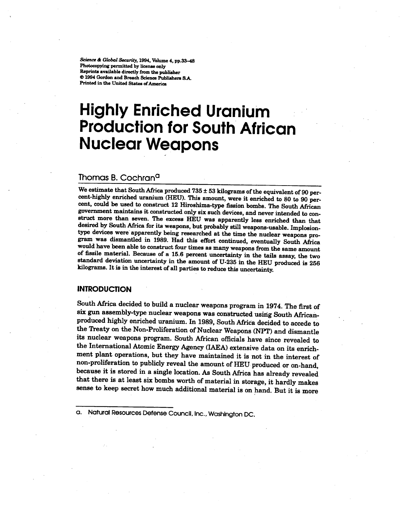*Science* & *Global Security*, 1994, Volume 4, pp.33-48<br>Photocopying permitted by license only Reprints available directly from the publisher **Contract directly from the publishers S.<br>Contract directly from the publishers S.**<br>Printed in the United States of America Printed in the United States of America

# **Highly Enriched Uranium Production for South African Nuclear Weapons**

# Thomas B. Cochran<sup>a</sup>

We estimate that South Africa produced  $735 \pm 53$  kilograms of the equivalent of 90 percent-highly enriched uranium (HEU). This amount, were it enriched to 80 to 90 percent, could be used to construct 12 Hiroshima-type fission bombs. The South African government maintains it constructed only six such devices,and never intended to construct more than seven. The excess HEU was apparently less enriched than that desired by South Africa for its weapons, but probably still weapons-usable.Implosiontype devices were apparently being researched at the time the nuclear weapons program was dismantled in 1989. Had this effort continued, eventually South Africa would have been able to construct four times as many weapons from the same amount of fissile material. Because of a 15.6 percent uncertainty in the tails assay, the two standard deviation uncertainty in the amount of U-235 in the HEU produced is 256 kilograms. It is in the interest of all parties to reduce this uncertainty.

## **INTRODUCTION**

South Africa decided to build a nuclear weapons program in 1974. The first of six gun assembly-type nuclear weapons was constructed using South Africanproduced highly enriched uranium. In 1989, South Africa decided to accede to the Treaty on the Non-Proliferation of Nuclear Weapons (NPT) and dismantle its nuclear weapons program. South African officials have since revealed to the International Atomic Energy Agency (lAEA) extensive data on its enrichment plant operations, but they have maintained it is not in the interest of non-proliferation to publicly reveal the amount of HEU produced or on-hand, because it is stored in a single location. As South Africa has already revealed that there is at least six bombs worth of material in storage, it hardly makes sense to keep secret how much additional material is on hand. But it is more

a. Natural Resources Defense Council, Inc., Washington DC.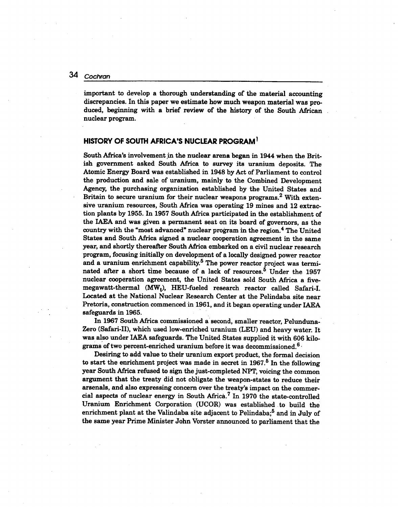important to develop a thorough understanding of the material accounting discrepancies. In this paper we estimate how much weapon material was produced, beginning with a brief review of the history of the South African nuclear program.

## HISTORY OF SOUTH AFRICA'S NUCLEAR PROGRAM<sup>1</sup>

South Africa's involvement in the nuclear arena began in 1944 when the British government asked South Africa to survey its uranium deposits. The Atomic Energy Board was established in 1948 by Act of Parliament to control the production and sale of uranium, mainly to the Combined Development Agency, the purchasing organization established by the United States and Britain to secure uranium for their nuclear weapons programs. $2$  With extensive uranium resources, South Africa was operating 19 mines and 12 extraction plants by 1955. In 1957 South Mrica participated in the establishment of the IAEA and was given a permanent seat on its board of governors, as the country with the "most advanced" nuclear program in the region.<sup>4</sup> The United States and South Africa signed a nuclear cooperation agreement in the same year, and shortly thereafter South Africa embarked on a civil nuclear research program, focusing initially on development of a locally designed power reactor and a uranium enrichment capability.<sup>5</sup> The power reactor project was terminated after a short time because of a lack of resources.<sup>5</sup> Under the 1957 nuclear cooperation agreement, the United States sold South Africa a five $m$ egawatt-thermal (MW<sub>t</sub>), HEU-fueled research reactor called Safari-Located at the National Nuclear Research Center at the Pelindaba site near Pretoria, construction commenced in 1961, and it began operating under IAEA safeguards in 1965.

In 1967 South Africa commissioned a'second, smaller reactor, Pelunduna-Zero (Safari-II), which used low-enriched uranium (LEU) and heavy water. It was also under IAEA safeguards. The United States supplied it with 606 kilograms of two percent-enriched uranium before it was decommissioned.<sup>6.</sup>

Desiring to add value to their uranium export product, the formal decision to start the enrichment project was made in secret in  $1967<sup>5</sup>$  In the following year South Africa refused to sign the just-completed NPT, voicing the common argument that the treaty did not obligate the weapon-states to reduce their arsenals, and also expressing concern over the treaty's impact on the commercial aspects of nuclear energy in South Africa.<sup>7</sup> In 1970 the state-controlled Uranium Enrichment Corporation (UCOR) was established, to build the enrichment plant at the Valindaba site adjacent to Pelindaba; $<sup>5</sup>$  and in July of</sup> the same year Prime Minister John Vorster announced to parliament that the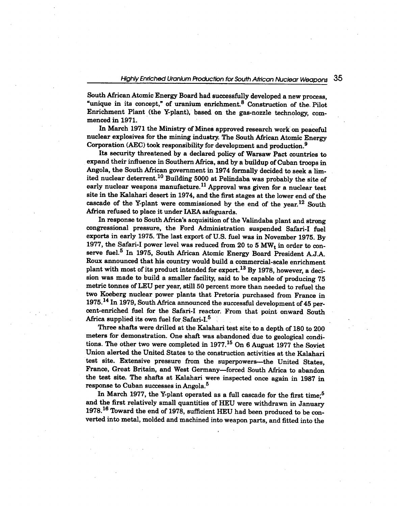South African Atomic Energy Board had successfully developed a new process, "unique in its concept," of uranium enrichment. $8 \text{ Construction of the. Pilot}$ Enrichment Plant (the Y-plant), based on the gas-nozzle technology, commenced in 1971.

In March 1971 the Ministry of Mines approved research work on peaceful nuclear explosives for the mining industry. The South African Atomic Energy Corporation (AEC) took responsibility for development and production.9

Its security threatened by a declared policy of Warsaw Pact countries to expand their influence in Southern Africa, and by a buildup of Cuban troops in Angola, the South African government in 1974 formally decided to seek a limited nuclear deterrent.<sup>10</sup> Building 5000 at Pelindaba was probably the site of early nuclear weapons manufacture.<sup>11</sup> Approval was given for a nuclear test site in the Kalahari desert in 1974, and the first stages at the lower end of the cascade of the Y-plant were commissioned by the end of the year.<sup>12</sup> South Mrica refused to place it under IAEA safeguards.

In response to South Africa's acquisition of the Valindaba plant and strong congressional pressure, the Ford Administration suspended Safari-I fuel exports in early 1975. The last export of U.S. fuel was in November 1975. By 1977, the Safari-I power level was reduced from 20 to 5  $\text{MW}_{\text{t}}$  in order to conserve fuel.<sup>5</sup> In 1975, South African Atomic Energy Board President A.J.A. Roux announced that his country would build a commercial-scale enrichment plant with most of its product intended for export.<sup>13</sup> By 1978, however, a decision was made to build a smaller facility, said to be capable of producing 75 metric tonnes of LEU per year, still 50 percent more than needed to refuel the two Koeberg nuclear power plants that Pretoria purchased from France in 1975.14 In 1979, South Mrica announced the successful development of 45 percent-enriched fuel for the Safari-I reactor. From that point onward South Africa supplied its own fuel for Safari-I.<sup>5</sup>

Three shafts were drilled at the Kalahari test site to a depth of 180 to 200 meters for demonstration. One shaft was abandoned due to geological conditions. The other two were completed in 1977.<sup>15</sup> On 6 August 1977 the Soviet Union alerted the United States to the construction activities at the Kalahari test site. Extensive pressure from the superpowers--the United States, France, Great Britain, and West Germany-forced South Africa to abandon the test site. The shafts at Kalahari were inspected once again in 1987 in response to Cuban successes in Angola. 5

In March 1977, the Y-plant operated as a full cascade for the first time;<sup>5</sup> and the first relatively small quantities of HEU were withdrawn in January 1978.16 Toward the end of 1978, sufficient HEU had been produced to be converted into metal, molded and machined into weapon parts, and fitted into the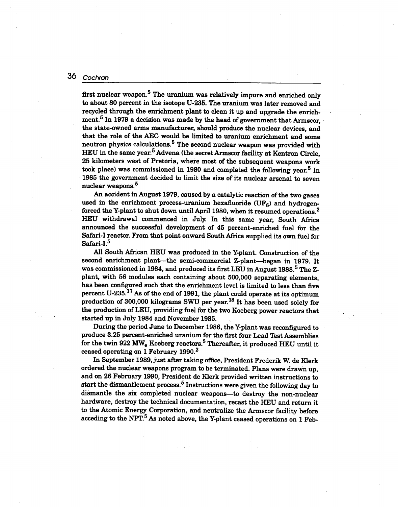first nuclear weapon.<sup>5</sup> The uranium was relatively impure and enriched only to about 80 percent in the isotope U-235. The uranium was later removed and recycled through the enrichment plant to clean it up and upgrade the enrichment.<sup>5</sup> In 1979 a decision was made by the head of government that Armscor, the state-owned arms manufacturer, should produce the nuclear devices, and that the role of the AEC would be limited to uranium enrichment and some neutron physics calculations.<sup>5</sup> The second nuclear weapon was provided with HEU in the same year.<sup>5</sup> Advena (the secret Armscor facility at Kentron Circle, 25 kilometers west of Pretoria, where most of the subsequent weapons work took place) was commissioned in 1980 and completed the following year.<sup>5</sup> In 1985 the government decided to limit the size of its nuclear arsenal to seven nuclear weapons.<sup>5</sup>

An accident in August 1979, caused by a catalytic reaction of the two gases used in the enrichment process-uranium hexafluoride  $(UF<sub>6</sub>)$  and hydrogenforced the Y-plant to shut down until April 1980, when it resumed operations.2 BEU withdrawal commenced in July. In this same year, South Africa announced the successful development of 45 percent-enriched fuel for the Safari-I reactor. From that point onward South Africa supplied its own fuel for Safari-I.<sup>5</sup>

All South African HEU was produced in the Y-plant. Construction of the second enrichment plant-the semi-commercial Z-plant-began in 1979. It was commissioned in 1984, and produced its first LEU in August 1988.<sup>5</sup> The Zplant, with 56 modules each containing about 500,000 separating elements, has been configured such that the enrichment level is limited to less than five percent U-235.<sup>17</sup> As of the end of 1991, the plant could operate at its optimum production of 300,000 kilograms SWU per year. IS It has been used solely for the production of LEU, providing fuel for the two Koeberg power reactors that started up in July 1984 and November 1985.

During the period June to December 1986, the Y-plant was reconfigured to produce 3.25 percent-enriched uranium for the first four Lead Test Assemblies for the twin 922 MW<sub>e</sub> Koeberg reactors.<sup>5</sup> Thereafter, it produced HEU until it ceased operating on 1 February 1990.<sup>2</sup>

In September 1989, just after taking office, President Frederik W. de Klerk ordered the nuclear weapons program to be terminated. Plans were drawn up, and on 26 February 1990, President de Klerk provided written instructions to start the dismantlement process.<sup>5</sup> Instructions were given the following day to dismantle the six completed nuclear weapons-to destroy the non-nuclear hardware, destroy the technical documentation, recast the HEU and return it to the Atomic Energy Corporation, and neutralize the Armscor facility before acceding to the NPT. $5$  As noted above, the Y-plant ceased operations on 1 Feb-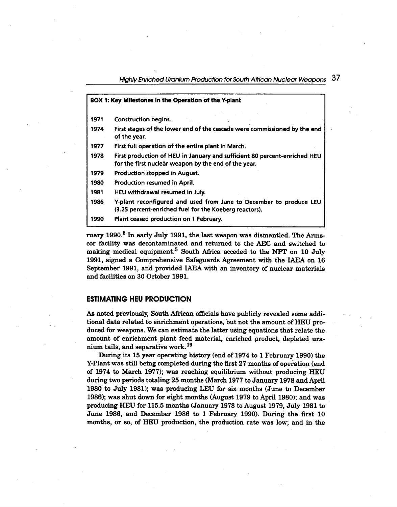| BOX 1: Key Milestones in the Operation of the Y-plant |                                                                                                                                   |  |  |  |  |
|-------------------------------------------------------|-----------------------------------------------------------------------------------------------------------------------------------|--|--|--|--|
| 1971                                                  | <b>Construction begins.</b>                                                                                                       |  |  |  |  |
| 1974                                                  | First stages of the lower end of the cascade were commissioned by the end<br>of the year.                                         |  |  |  |  |
| 1977                                                  | First full operation of the entire plant in March.                                                                                |  |  |  |  |
| 1978                                                  | First production of HEU in January and sufficient 80 percent-enriched HEU<br>for the first nuclear weapon by the end of the year. |  |  |  |  |
| 1979                                                  | Production stopped in August.                                                                                                     |  |  |  |  |
| 1980                                                  | Production resumed in April.                                                                                                      |  |  |  |  |
| 1981                                                  | HEU withdrawal resumed in July.                                                                                                   |  |  |  |  |
| 1986                                                  | Y-plant reconfigured and used from June to December to produce LEU<br>(3.25 percent-enriched fuel for the Koeberg reactors).      |  |  |  |  |
| 1990                                                  | Plant ceased production on 1 February.                                                                                            |  |  |  |  |

ruary 1990.<sup>5</sup> In early July 1991, the last weapon was dismantled. The Armscor facility was decontaminated and returned to the AEC and switched to making medical equipment.<sup>5</sup> South Africa acceded to the NPT on 10 July 1991, signed a Comprehensive Safeguards Agreement with the IAEA on 16 September 1991, and provided IAEA with an inventory of nuclear materials and facilities on 30 October 1991.

## **ESTIMATING HEU PRODUCTION**

As noted previously, South African officials have publicly revealed some additional data related to enrichment operations, but not the amount of HEU produced for weapons. We can estimate the latter using equations that relate the amount of enrichment plant feed material, enriched product, depleted uranium tails, and separative work.<sup>19</sup>

During its 15 year operating history (end of 1974 to 1 February 1990) the Y-Plant was still being completed during the first 27 months of operation (end of 1974 to March 1977); was reaching equilibrium without producing HEU during two periods totaling 25 months (March 1977 to January 1978 and April 1980 to July 1981); was producing LEU for six months (June to December 1986); was shut down for eight months (August 1979 to April 1980); and was producing HEU for 115.5 months (January 1978 to August 1979, July 1981 to June 1986, and December 1986 to 1 February 1990). During the first 10 months, or so, of HEU production, the production rate was low; and in the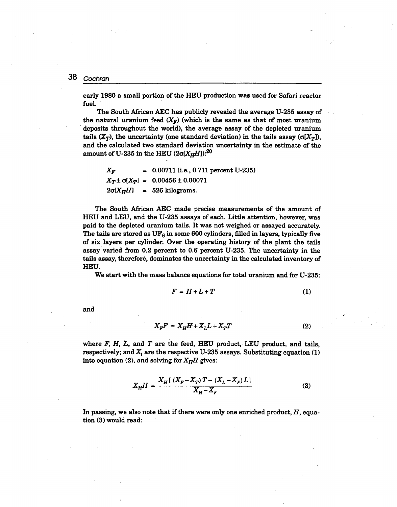> early 1980 a small portion of the HEU production was used for Safari reactor fuel.

> The South African AEC has publicly revealed the average U-235 assay of the natural uranium feed  $(X_F)$  (which is the same as that of most uranium . deposits throughout the world), the average assay of the depleted uranium tails  $(X_T)$ , the uncertainty (one standard deviation) in the tails assay  $(\sigma[X_T])$ and the calculated two standard deviation uncertainty in the estimate of the amount of U-235 in the HEU  $(2\sigma[X_HH])$ :<sup>20</sup>

$$
X_F
$$
 = 0.00711 (i.e., 0.711 percent U-235)  
\n $X_T \pm \sigma[X_T]$  = 0.00456 ± 0.00071  
\n $2\sigma[X_H H]$  = 526 kilograms.

The South African AEC made precise measurements of the amount of HEU and LEU, and the U-235 assays of each. Little attention, however, was paid to the depleted uranium tails. It was not weighed or assayed accurately. The tails are stored as  $UF_6$  in some 600 cylinders, filled in layers, typically five of six layers per cylinder. Over the operating history of the plant the tails assay varied from 0.2 percent to 0.6 percent U-235. The uncertainty in the tails assay, therefore, dominates the uncertainty in the calculated inventory of HEU.

We start with the mass balance equations for total uranium and for U-235:

$$
F = H + L + T \tag{1}
$$

and

$$
X_{\nu}F = X_{\nu}H + X_{\nu}L + X_{\nu}T \tag{2}
$$

where  $F$ ,  $H$ ,  $L$ , and  $T$  are the feed, HEU product, LEU product, and tails, respectively; and  $X_i$  are the respective U-235 assays. Substituting equation (1) into equation (2), and solving for  $X_HH$  gives:

$$
X_H H = \frac{X_H [(X_F - X_T) T - (X_L - X_F) L]}{X_H - X_F}
$$
(3)

In passing, we also note that if there were only one enriched product, *H,* equation (3) would read: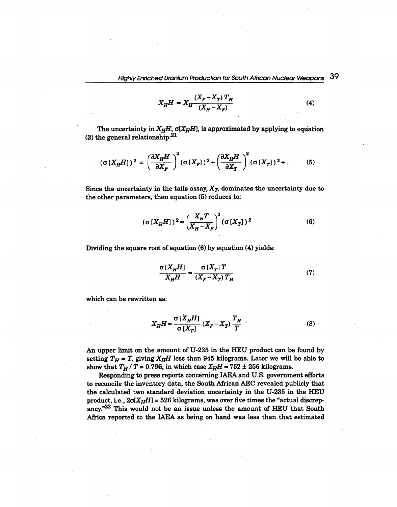$$
X_{H}H = X_{H} \frac{(X_{F} - X_{T}) T_{H}}{(X_{H} - X_{F})}
$$
(4)

The uncertainty in  $X_HH$ ,  $\sigma(X_HH)$ , is approximated by applying to equation (3) the general relationship: $^{21}$ 

$$
(\sigma\left[X_H H\right])^2 = \left(\frac{\partial X_H H}{\partial X_F}\right)^2 (\sigma\left[X_F\right])^2 + \left(\frac{\partial X_H H}{\partial X_T}\right)^2 (\sigma\left[X_T\right])^2 + \dots \tag{5}
$$

Since the uncertainty in the tails assay,  $X_T$ , dominates the uncertainty due to the other parameters, then equation (5) reduces to:

$$
(\sigma [X_H H])^2 \approx \left(\frac{X_H T}{X_H - X_F}\right)^2 (\sigma [X_T])^2
$$
 (6)

Dividing the square root of equation (6) by equation (4) yields:

$$
\frac{\sigma\left[X_H H\right]}{X_H H} \approx \frac{\sigma\left[X_T\right] T}{\left(X_F - X_T\right) T_H} \tag{7}
$$

which can be rewritten as:

$$
X_H H \approx \frac{\sigma \left[ X_H H \right]}{\sigma \left[ X_T \right]} \left( X_F - X_T \right) \frac{T_H}{T}
$$
\n(8)

An upper limit on the amount of U-235 in the HEU product can be found by setting  $T_H = T$ , giving  $X_H$  less than 945 kilograms. Later we will be able to show that  $T_H$  / T = 0.796, in which case  $X_HH \approx 752 \pm 256$  kilograms.

Responding to press reports concerning IAEA and U.S. government efforts to reconcile the inventory data, the South African AEC revealed publicly that the calculated two standard deviation uncertainty in the U-235 in the HEU product, i.e.,  $2\sigma[X_HH] = 526$  kilograms, was over five times the "actual discrepancy. $n^{22}$  This would not be an issue unless the amount of HEU that South Africa reported to the IAEA as being on hand was less than that estimated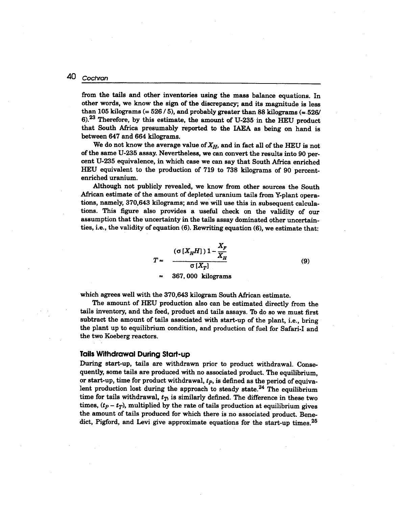from the tails and other inventories using the mass balance equations. In other words, we know the sign of the discrepancy; and its magnitude is less than 105 kilograms  $(= 526/5)$ , and probably greater than 88 kilograms  $(= 526/5)$ 6).23 Therefore, by this estimate, the amount of U-235 in the HEU product that South Africa presumably reported to the IAEA as being on hand is between 647 and 664 kilograms.

We do not know the average value of  $X_H$ , and in fact all of the HEU is not of the same U-235 assay. Nevertheless, we can convert the results into 90 percent U-235 equivalence, in which case we can say that South Africa enriched HEU equivalent to the production of 719 to 738 kilograms of 90 percentenriched uranium.

Although not publicly revealed, we know from other sources the South African estimate of the amount of depleted uranium tails from Y-plant operations, namely, 370,643 kilograms; and we will use this in subsequent calculations. This figure also provides a useful check on the validity of our assumption that the uncertainty in the tails assay dominated other uncertainties, i.e., the validity of equation (6). Rewriting.equation (6), we estimate that:

> $(\sigma\, [X_{H}H])\, 1-\frac{X_{F}}{X_{H}}$  $\sigma$  [ $X_{\mathcal{T}}$ 367, 000 kilograms

 $(9)$ 

which agrees well with the 370,643 kilogram South Mrican estimate.

The amount of HEU production also can be estimated directly from the tails inventory, and the feed, product and tails assays. 'Ib do so we must first subtract the amount of tails associated With start-up of the plant, i.e., bring the plant up to equilibrium condition, and production of fuel for Safari-I and the two Koeberg reactors.

## **Tails Withdrawal During Start-up**

During start-up, tails are withdrawn prior to product withdrawal. Consequently, some tails are produced with no associated product. The equilibrium, or start-up, time for product withdrawal, *tp,* is defined as the period of equivalent production lost during the approach to steady state.<sup>24</sup> The equilibrium time for tails withdrawal,  $t<sub>T</sub>$ , is similarly defined. The difference in these two times,  $(t_p - t_T)$ , multiplied by the rate of tails production at equilibrium gives the amount of tails produced for which there is no associated product. Benedict, Pigford, and Levi give approximate equations for the start-up times. 25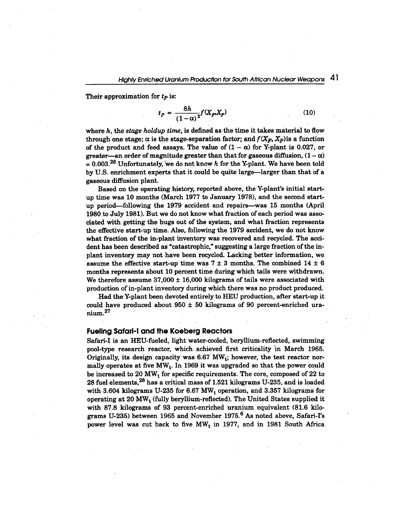Their approximation for  $t_p$  is:

$$
t_P = \frac{8h}{(1-\alpha)^2} f(X_P, X_P) \tag{10}
$$

where *h,* the *stage holdup time,* is defined as the time it takes material to flow through one stage;  $\alpha$  is the stage-separation factor; and  $f(X_F, X_P)$  is a function of the product and feed assays. The value of  $(1 - \alpha)$  for Y-plant is 0.027, or greater—an order of magnitude greater than that for gaseous diffusion,  $(1 - \alpha)$  $= 0.003<sup>26</sup>$  Unfortunately, we do not know *h* for the Y-plant. We have been told by U.S. enrichment experts that it could be quite large-larger than that of a gaseous diffusion plant.

Based on the operating history, reported above, the V-plant's initial startup time was 10 months (March 1977 to January 1978), and the second startup period-following the 1979 accident and repairs-was 15 months (April 1980 to July 1981). But we do not know what fraction of each period was associated with getting the bugs out of the system, and what fraction represents the effective start-up time. Also, following the 1979 accident, we do not know what fraction of the in-plant inventory was recovered and recycled. The accident has been described as "catastrophic," suggesting a large fraction of the inplant inventory may not have been recycled. Lacking better information, we assume the effective start-up time was  $7 \pm 3$  months. The combined  $14 \pm 6$ months represents about 10 percent time during which tails were withdrawn. We therefore assume  $37,000 \pm 16,000$  kilograms of tails were associated with production of in-plant inventory during which there was no product produced.

Had the V-plant been devoted entirely to HEU production, after start-up it could have produced about  $950 \pm 50$  kilograms of 90 percent-enriched uranium.27

### **Fueling Safari-I and the Koeberg Reactors**

Safari-I is an HEU-fueled, light water-cooled, beryllium-reflected, swimming pool-type research reactor, which achieved first criticality in March 1965. Originally, its design capacity was  $6.67$  MW<sub>t</sub>; however, the test reactor normally operates at five MW<sub>t</sub>. In 1969 it was upgraded so that the power could be increased to  $20\ \mathrm{MW}_{\mathrm{t}}$  for specific requirements. The core, composed of  $22$  to 28 fuel elements,<sup>28</sup> has a critical mass of 1.521 kilograms U-235, and is loaded with 3.604 kilograms U-235 for 6.67  $MW_t$  operation, and 3.357 kilograms for operating at 20 MW<sub>t</sub> (fully beryllium-reflected). The United States supplied it with 87.8 kilograms of 93 percent-enriched uranium equivalent (81.6 kilograms U-235) between 1965 and November 1975.<sup>6</sup> As noted above, Safari-I's power level was cut back to five  $MW_t$  in 1977, and in 1981 South Africa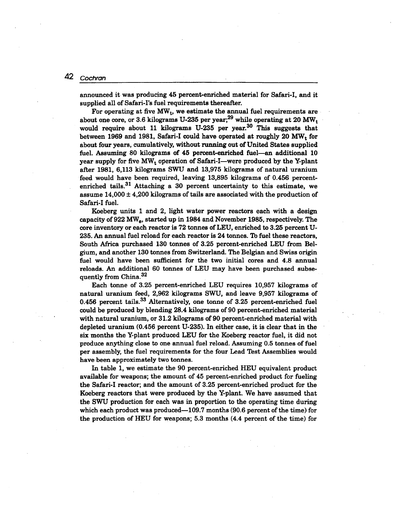announced it was producing 45 percent-enriched material for Safari-I, and it supplied all of Safari-I's fuel requirements thereafter.

For operating at five  $MW_t$ , we estimate the annual fuel requirements are about one core, or 3.6 kilograms U-235 per year;<sup>29</sup> while operating at 20 MW<sub>t</sub> would require about 11 kilograms U-235 per year.<sup>30</sup> This suggests that between 1969 and 1981, Safari-I could have operated at roughly 20  $\text{MW}_{\text{t}}$  for about four years, cumulatively, without running out of United States supplied fuel. Assuming 80 kilograms of 45 percent-enriched fuel-an additional 10 year supply for five  $MW_t$  operation of Safari-I—were produced by the Y-plant after 1981, 6,113 kilograms SWU and 13,975 kilograms of natural uranium feed would have been required, leaving 13,895 kilograms of 0.456 percentenriched tails.<sup>31</sup> Attaching a 30 percent uncertainty to this estimate, we assume  $14,000 \pm 4,200$  kilograms of tails are associated with the production of Safari-I fuel.

Koeberg units 1 and 2, light water power reactors each with a design capacity of 922 MW<sub>a</sub>, started up in 1984 and November 1985, respectively. The core inventory or each reactor is 72 tonnes of LEU, enriched to 3.25 percent U-235. An annual fuel reload for each reactor is 24 tonnes. 1b fuel these reactors, South Africa purchased 130 tonnes of 3.25 percent-enriched LEU from Belgium, and another 130 tonnes from Switzerland. The Belgian and Swiss origin fuel would have been sufficient for the two initial cores and 4.8 annual reloads. An additional 60 tonnes of LEU may have been purchased subsequently from China.<sup>32</sup>

Each tonne of 3.25 percent-enriched LEU requires 10,957 kilograms of natural uranium feed, 2,962 kilograms SWU, and leave 9,957 kilograms of 0.456 percent tails. $33$  Alternatively, one tonne of 3.25 percent-enriched fuel could be produced by blending 28.4 kilograms of 90 percent-enriched material with natural uranium, or 31.2 kilograms of 90 percent-enriched material With depleted uranium (0.456 percent U-235). In either case, it is clear that in the six months the Y-plant produced LEU for the Koeberg reactor fuel, it did not produce anything close to one annual fuel reload. Assuming 0.5 tonnes of fuel per assembly, the fuel requirements for the four Lead Test Assemblies would have been approximately two tonnes.

In table 1, we estimate the 90 percent-enriched HEU equivalent product available for weapons; the amount of 45 percent-enriched product for fueling the Safari-I reactor; and the amount of 3.25 percent-enriched product for the Koeberg reactors that were produced by the Y-plant. We have assumed that the SWU production for each was in proportion to the operating time during which each product was produced—109.7 months (90.6 percent of the time) for the production of HEU for weapons; 5.3 months (4.4 percent of the time) for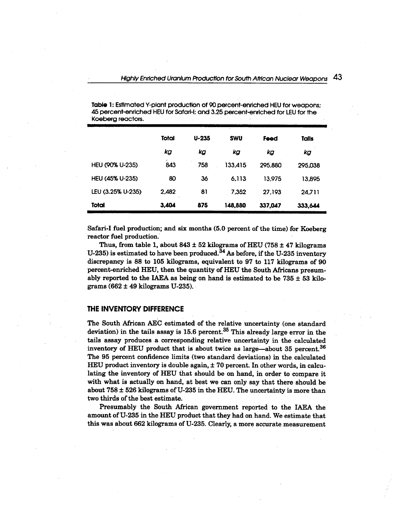| $\sim$            |          |           |            |         |         |  |  |
|-------------------|----------|-----------|------------|---------|---------|--|--|
|                   | Total    | $U - 235$ | <b>SWU</b> | Feed    | Tails   |  |  |
|                   | kg       | kg        | kg         | kg      | kg      |  |  |
| HEU (90% U-235)   | -<br>843 | 758       | 133.415    | 295,880 | 295,038 |  |  |
| HEU (45% U-235)   | 80       | 36        | 6.113      | 13.975  | 13,895  |  |  |
| LEU (3.25% U-235) | 2,482    | 81        | 7,352      | 27.193  | 24.711  |  |  |
| Total             | 3,404    | 875       | 148,880    | 337,047 | 333.644 |  |  |

Table 1: Estimated Y-plant production of 90 percent-enriched HEU for weapons; 45 percent-enriched HEU for Safari-I; and 3.25 percent-enriched for LEU for the Koeberg reactors.

Safari-I fuel production; and six months (5.0 percent of the time) for Koeberg reactor fuel production.

Thus, from table 1, about  $843 \pm 52$  kilograms of HEU (758  $\pm$  47 kilograms U-235) is estimated to have been produced. $34$  As before, if the U-235 inventory discrepancy is 88 to 105 kilograms, equivalent to 97 to 117 kilograms of 90 percent-enriched HEU, then the quantity of HEU the South Africans presumably reported to the IAEA as being on hand is estimated to be  $735 \pm 53$  kilograms  $(662 \pm 49 \text{ kilograms U-235}).$ 

## THE INVENTORY DIFFERENCE

The South African AEC estimated of the relative uncertainty (one standard deviation) in the tails assay is  $15.6$  percent.<sup>35</sup> This already large error in the tails assay produces a corresponding relative uncertainty in the calculated inventory of HEU product that is about twice as large-about 35 percent.<sup>36</sup> The 95 percent confidence limits (two standard deviations) in the calculated HEU product inventory is double again, ± 70 percent. In other words, in calculating the inventory of HEU that should be on hand, in order to compare it with what is actually on hand, at best we can only say that there should be about  $758 \pm 526$  kilograms of U-235 in the HEU. The uncertainty is more than two thirds of the best estimate.

Presumably the South African government reported to the IAEA the amount of U-235 in the HEU product that they had on hand. We estimate that this was about 662 kilograms of U-235. Clearly, a more accurate measurement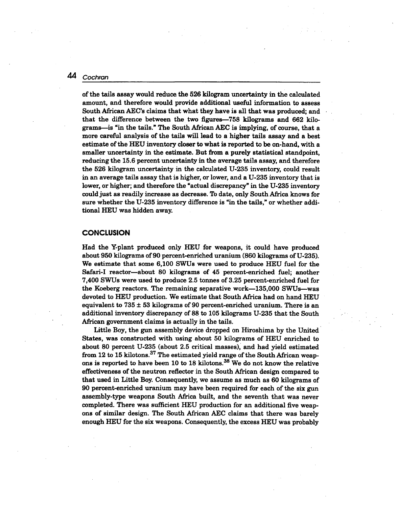of the tails assay would reduce the 526 kilogram uncertainty in the calculated amount, and therefore would provide additional useful information to assess South African AEC's claims that what they have is all that was produced; and that the difference between the two figures-758 kilograms and 662 kilograms-is "in the tails." The South African AEC is implying, of course, that a more careful analysis of the tails will lead to a higher tails assay and a best estimate of the BEU inventory closer to what is reported to be on-hand, with a smaller uncertainty in the estimate. But from a purely statistical standpoint, reducing the 15.6 percent uncertainty in the average tails assay, and therefore the 526 kilogram uncertainty in the calculated U-235 inventory, could result in an average tails assay that is higher, or lower, and a U-235 inventory that is lower, or higher; and therefore the "actual discrepancy" in the U-235 inventory could just as readily increase as decrease. To date, only South Africa knows for sure whether the U-235 inventory difference is "in the tails," or whether additional HEU was hidden away.

#### **CONCLUSION**

Had the Y-plant produced only HEU for weapons, it could have produced about 950 kilograms of 90 percent-enriched uranium (860 kilograms of U-235). We estimate that some 6,100 SWUs were used to produce HEU fuel for the Safari-I reactor-about 80 kilograms of 45 percent-enriched fuel; another 7,400 SWUs were used to produce 2.5 tonnes of 3.25 percent-enriched fuel for the Koeberg reactors. The remaining separative work-135,000 SWUs-was devoted to HEU production. We estimate that South Africa had on hand HEU equivalent to  $735 \pm 53$  kilograms of 90 percent-enriched uranium. There is an additional inventory discrepancy of 88 to 105 kilograms U-235 that the South African government claims is actually in the tails.

Little Boy, the gun assembly device dropped on Hiroshima by the United· States, was constructed with using about 50 kilograms of HEU enriched to about 80 percent U-235 (about 2.5 critical masses), and had yield estimated from 12 to 15 kilotons.<sup>37</sup> The estimated yield range of the South African weapons is reported to have been 10 to 18 kilotons.<sup>38</sup> We do not know the relative effectiveness of the neutron reflector in the South African design compared to that used in Little Boy. Consequently, we assume as much as 60 kilograms of 90 percent-enriched uranium may have been required for each of the six gun assembly-type weapons South Africa built, and the seventh that was never completed. There was sufficient HEU production for an additional five weapons of similar design. The South African AEC claims that there was barely enough HEU for the six weapons. Consequently, the excess HEU was probably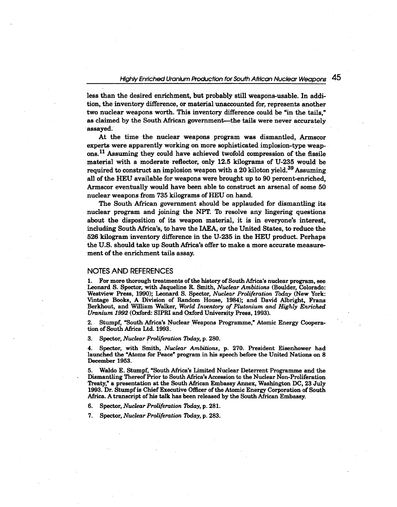less than the desired enrichment, but probably still weapons-usable. In addition, the inventory difference, or material unaccounted for, represents another two nuclear weapons worth. This inventory difference could be "in the tails," as claimed by the South African government—the tails were never accurately assayed.

At the time the nuclear weapons program was dismantled, Armscor experts were apparently working on more sophisticated implosion-type weapons.<sup>11</sup> Assuming they could have achieved twofold compression of the fissile material with a moderate reflector, only 12.5 kilograms of U-235 would be required to construct an implosion weapon with a 20 kiloton yield.<sup>39</sup> Assuming all of the HEU available for weapons were brought up to 90 percent-enriched, Armscor eventually would have been able to construct an arsenal of some 50 nuclear weapons from 735 kilograms of HEU on hand.

The South African government should be applauded for dismantling its nuclear program and joining the NPT. 'Ib resolve any lingering questions about the disposition of its weapon material, it is in everyone's interest, including South Africa's, to have the IAEA, or the United States, to reduce the 526 kilogram inventory difference in the U-235 in the HEU product. Perhaps the U.S. should take up South Africa's offer to make a more accurate measurement of the enrichment tails assay.

#### **NOTES AND REFERENCES**

1. For more thorough treatments of the history of South Mrica's nuclear program, see Leonard S. Spector, with Jaqueline R. Smith, *Nudear Ambitions* (Boulder, Colorado: Westview Press, 1990); Leonard S. Spector, *Nuclear Proliferation Today* (New York: Vintage Books, A Division of Random House, 1984); and David Albright, Frans Berkhout, and William Walker, *World Inventory of Plutonium and Highly Enriched Uranium 1992* (Oxford: SIPRI and Oxford University Press, 1993).

2. Stumpf, "South Africa's Nuclear Weapons Programme," Atomic Energy Cooperation of South Africa Ltd. 1993.

3. Spector, *Nuclear Proliferation Today,* p. 280.

4. Spector, with Smith, *Nuclear Ambitions,* p. 270. President Eisenhower had launched the "Atoms for Peace" program in his speech before the United Nations on 8 December 1953.

5. Waldo E. Stumpf, "South Africa's Limited Nuclear Deterrent'Programme and the Dismantling Thereof Prior to South Africa's Accession to the Nuclear Non-Proliferation Treaty," a presentation at the South Mrican Embassy Annex, Washington DC, 23 July 1993. Dr. Stumpf is Chief Executive Officer of the Atomic Energy Corporation of South Africa. A transcript of his talk has been released by the South African Embassy.

6. Spector, *Nuclear Proliferation Today,* p. 281.

7. Spector, *Nuclear Proliferation Today,* p. 283.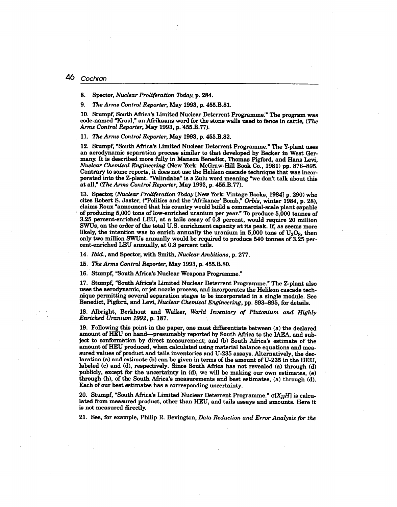#### $\Delta 6$ Cochran

8. Spector, *Nuclear Proliferation* 7bday, p. 284.

*9. The Arms Control Reporter,* May 1993, p. 455.B.81.

10. Stumpf, South Africa's Limited Nuclear Deterrent Programme;" The program was code-named "Kraal," an Afrikaans word for the stone walls used to fence in cattle, *(The Arms Control Reporter,* May 1993, p. 455.B.77).

*11. The Arms Control Reporter,* May 1993, p. 455.B.82.

12. Stumpf, "South Africa's Limited Nuclear Deterrent Programme." The Y-plant uses an aerodynamic separation process similar to that developed by Becker in West Germany. It is described more fully in Manson Benedict, Thomas Pigford, and Hans Levi, *Nuclear Chemical Engineering* (New York: McGraw-Hill Book Co., 1981) pp. 876-895. Contrary to some reports, it does not use the Helikon cascade technique that was incorporated into the Z-plant. "Valindaba" is a Zulu word meaning "we don't talk about this at all," *(The Arms Control Reporter,* May 1993, p. 455.B. 77).

13. Spector, *(Nuclear Proliferation Today* [New York: Vintage Books, 1984] p. 290) who cites Robert S. Jaster, ("Politics and the 'Afrikaner' Bomb," *Orbis,* winter 1984, p. 28), claims Roux "announced that his country would build a commercial-scale plant capable of producing 5,000 tons of low-enriched uranium per year." To produce 5,000 tonnes of 3.25 percent-enriched LEU, at a tails assay of 0.3 percent, would require 20 million SWUs, on the order of the total U.S. enrichment capacity at its peak. If, as seems more likely, the intention was to enrich annually the uranium in  $5,000$  tons of  $U_3O_8$ , then only two million SWUs annually would be required to produce 540 tonnes of 3.25 percent-enriched LEU annually, at 0.3 percent tails.

*14. Ibid.,* and Spector, with Smith, *Nuclear Ambitions,* p. 277.

*15. The Arms Control Reporter,* May 1993, p. 455.B.80.

16. Stumpf, "South Africa's Nuclear Weapons Programme."

17. Stumpf, "South Africa's Limited Nuclear Deterrent Programme." The Z-plant also uses the aerodynamic, or jet nozzle process, and incorporates the Helikon cascade technique permitting several separation stages to be incorporated in a single module. See Benedict, Pigford, and Levi, *Nuclear Chemical Engineering,* pp. 893-895, for details.

18. Albright, Berkhout and Walker, *World Inventory of Plutonium' and Highly Enriched Uranium* 1992, p. 187.

19. Following this point in the paper, one must differentiate between (a) the declared amount of HEU on hand-presumably reported by South Africa to the IAEA, and subject to conformation by direct measurement; and (b) South Africa's estimate of the amount of HEU produced, when calculated using material balance equations and measured values of product and tails inventories and U-235 assays. Alternatively, the declaration (a) and estimate (b) can be given in terms of the amount of U-235 in the HEU, labeled (c) and (d), respectively. Since South Africa has not revealed (a) through (d) publicly, except for the uncertainty in (d), we will be making our own estimates, (e) through (h), of the South Africa's measurements and best estimates, (a) through (d). Each of our best estimates has a corresponding uncertainty.

20. Stumpf, "South Africa's Limited Nuclear Deterrent Programme." *a[XHH]* is calculated from measured product, other than HEU, and tails assays and amounts. Here it is not measured directly.

21. See, for example, Philip R. Bevington, *Data Reduction and Error Analysis for the*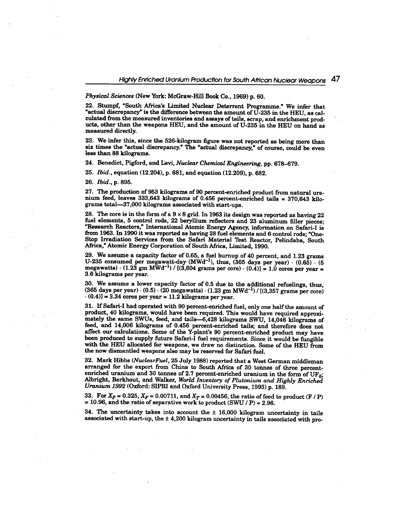*Physical Sciences* (New York: McGraw-Hill Book Co., 1969) p. 60.

22. Stumpf, "South Africa's Limited Nuclear Deterrent Programme." We infer that "actual discrepancy" is the difference between the amount of  $U$ -235 in the HEU, as calculated from the measured inventories and assays of tails, scrap, and enrichment products, other than the weapons HEU, and the amount of U-235 in the HEU on hand as measured directly.

23. We infer this, since the 526-kilogram figure was not reported as being more than six times the "actual discrepancy." The "actual discrepancy," of course, could be even less than 88 kilograms.

24. Benedict, Pigford, and Levi, *Nuclear Chemical Engineering,* pp. 678-679.

*25. Ibid.,* equation (12.204), p. 681, and equation (12.209), p. 682.

*26. Ibid.,* p. 895.

27. The production of 953 kilograms of 90 percent-enriched product from natural uranium feed, leaves 333,643 kilograms of 0.456 percent-enriched tails = 370,643 kilograms total-37,OOO kilograms associated with start-ups.

28. The core is in the form of a  $9 \times 8$  grid. In 1963 its design was reported as having 22 fuel elements, 5 control rods, 22 beryllium reflectors and 23 aluminum filler pieces; "Research Reactors," International Atomic Energy Agency, information on Safari-I is from 1963. In 1990 it was reported as having 28 fuel elements and 6 control rods; "One-Stop Irradiation Services from the Safari Material Test Reactor, Pelindaba, South Africa," Atomic Energy Corporation of South Africa, Limited, 1990.

29. We assume a capacity factor of 0.65, a fuel bumup of 40 percent, and 1.23 grams U-235 consumed per megawatt-day  $(MWd^{-1})$ , thus,  $(365$  days per year)  $\cdot$   $(0.65) \cdot (5)$ megawatts)  $\cdot$  (1.23 gm MWd<sup>-1</sup>) / [(3,604 grams per core)  $\cdot$  (0.4)] = 1.0 cores per year = 3.6 kilograms per year.

30. We assume a lower capacity factor of 0.5 due to the additional refuelings, thus, (365 days per year)  $\cdot$  (0.5)  $\cdot$  (20 megawatts)  $\cdot$  (1.23 gm MWd<sup>-1</sup>) / [(3,357 grams per core  $(0.4)$ ] = 3.34 cores per year = 11.2 kilograms per year.

31. If Safari-I had operated with 90 percent-enriched fuel, only one half the amount of product, 40 kilograms, would have been required. This would have required approximately the same SWUs, feed, and tails-6,428 kilograms SWU, 14,046 kilograms of feed, and 14,006 kilograms of 0.456 percent-enriched tails; and therefore does not affect our calculations. Some of the Y-plant's 90 percent-enriched product may have been produced to supply future Safari-I fuel requirements. Since it would be fungible with the HEU allocated for weapons, we draw no distinction. Some of the HEU from the now dismantled weapons also may be reserved for Safari fuel.

32. Mark Hibbs *(Nuclear Fuel,* 25 July 1988) reported that a West German middleman arranged for the export from China to South Africa of 30 tonnes of three percentenriched uranium and 30 tonnes of 2.7 percent-enriched uranium in the form of  $UF<sub>0</sub>$ Albright, Berkhout, and Walker, *World Inventory of Plutonium and Highly Enriched Uranium* 1992 (Oxford: SIPRI and Oxford University Press, 1993) p. 189.

33. For  $X_P = 0.325$ ,  $X_F = 0.00711$ , and  $X_T = 0.00456$ , the ratio of feed to product (F / P)  $= 10.96$ , and the ratio of separative work to product (SWU */ P*) = 2.96.

34. The uncertainty takes into account the  $\pm$  16,000 kilogram uncertainty in tails associated with start-up, the  $\pm$  4,200 kilogram uncertainty in tails associated with pro